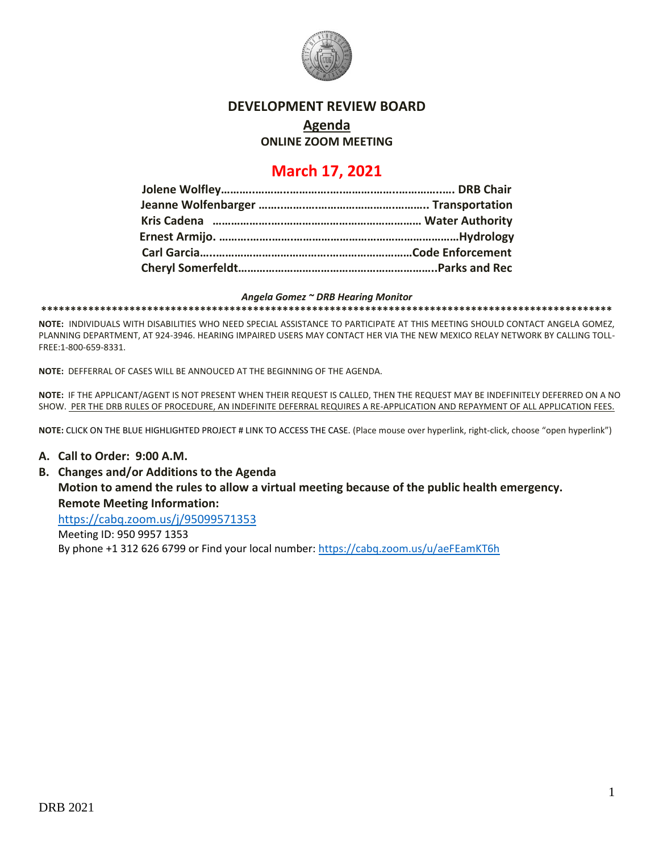

## **DEVELOPMENT REVIEW BOARD**

# **Agenda**

**ONLINE ZOOM MEETING**

# **March 17, 2021**

#### *Angela Gomez ~ DRB Hearing Monitor*

**\*\*\*\*\*\*\*\*\*\*\*\*\*\*\*\*\*\*\*\*\*\*\*\*\*\*\*\*\*\*\*\*\*\*\*\*\*\*\*\*\*\*\*\*\*\*\*\*\*\*\*\*\*\*\*\*\*\*\*\*\*\*\*\*\*\*\*\*\*\*\*\*\*\*\*\*\*\*\*\*\*\*\*\*\*\*\*\*\*\*\*\*\*\*\*\*\***

**NOTE:** INDIVIDUALS WITH DISABILITIES WHO NEED SPECIAL ASSISTANCE TO PARTICIPATE AT THIS MEETING SHOULD CONTACT ANGELA GOMEZ, PLANNING DEPARTMENT, AT 924-3946. HEARING IMPAIRED USERS MAY CONTACT HER VIA THE NEW MEXICO RELAY NETWORK BY CALLING TOLL-FREE:1-800-659-8331.

**NOTE:** DEFFERRAL OF CASES WILL BE ANNOUCED AT THE BEGINNING OF THE AGENDA.

**NOTE:** IF THE APPLICANT/AGENT IS NOT PRESENT WHEN THEIR REQUEST IS CALLED, THEN THE REQUEST MAY BE INDEFINITELY DEFERRED ON A NO SHOW. PER THE DRB RULES OF PROCEDURE, AN INDEFINITE DEFERRAL REQUIRES A RE-APPLICATION AND REPAYMENT OF ALL APPLICATION FEES.

**NOTE:** CLICK ON THE BLUE HIGHLIGHTED PROJECT # LINK TO ACCESS THE CASE. (Place mouse over hyperlink, right-click, choose "open hyperlink")

### **A. Call to Order: 9:00 A.M.**

**B. Changes and/or Additions to the Agenda Motion to amend the rules to allow a virtual meeting because of the public health emergency. Remote Meeting Information:** 

<https://cabq.zoom.us/j/95099571353>

Meeting ID: 950 9957 1353 By phone +1 312 626 6799 or Find your local number:<https://cabq.zoom.us/u/aeFEamKT6h>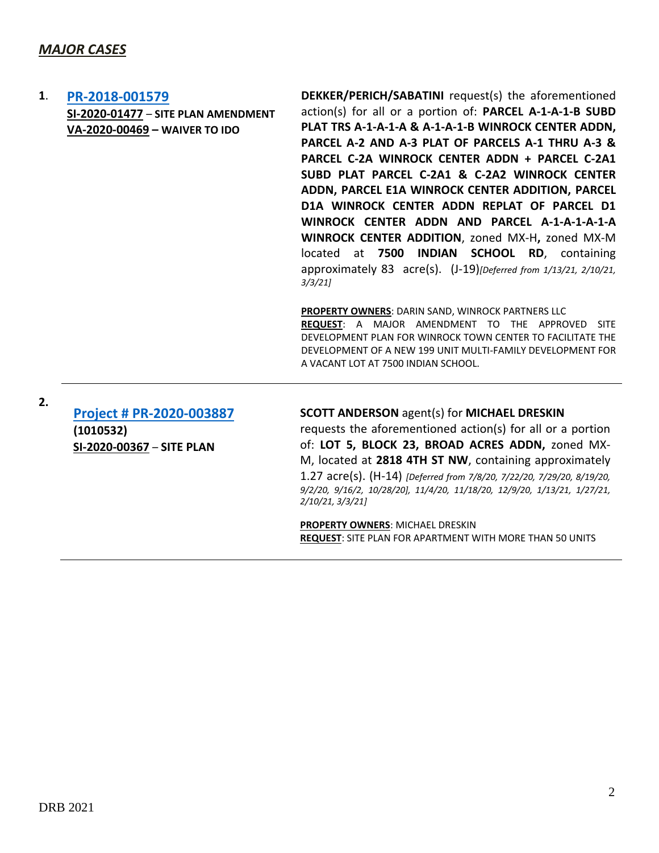# **1**. **[PR-2018-001579](http://data.cabq.gov/government/planning/DRB/PR-2018-001579/DRB%20Submittals/)**

**SI-2020-01477** – **SITE PLAN AMENDMENT VA-2020-00469 – WAIVER TO IDO**

**DEKKER/PERICH/SABATINI** request(s) the aforementioned action(s) for all or a portion of: **PARCEL A-1-A-1-B SUBD PLAT TRS A-1-A-1-A & A-1-A-1-B WINROCK CENTER ADDN, PARCEL A-2 AND A-3 PLAT OF PARCELS A-1 THRU A-3 & PARCEL C-2A WINROCK CENTER ADDN + PARCEL C-2A1 SUBD PLAT PARCEL C-2A1 & C-2A2 WINROCK CENTER ADDN, PARCEL E1A WINROCK CENTER ADDITION, PARCEL D1A WINROCK CENTER ADDN REPLAT OF PARCEL D1 WINROCK CENTER ADDN AND PARCEL A-1-A-1-A-1-A WINROCK CENTER ADDITION**, zoned MX-H**,** zoned MX-M located at **7500 INDIAN SCHOOL RD**, containing approximately 83 acre(s). (J-19)*[Deferred from 1/13/21, 2/10/21, 3/3/21]*

**PROPERTY OWNERS**: DARIN SAND, WINROCK PARTNERS LLC **REQUEST**: A MAJOR AMENDMENT TO THE APPROVED SITE DEVELOPMENT PLAN FOR WINROCK TOWN CENTER TO FACILITATE THE DEVELOPMENT OF A NEW 199 UNIT MULTI-FAMILY DEVELOPMENT FOR A VACANT LOT AT 7500 INDIAN SCHOOL.

**2.**

**[Project # PR-2020-003887](http://data.cabq.gov/government/planning/DRB/PR-2020-003887/DRB%20Submittals/) (1010532) SI-2020-00367** – **SITE PLAN**

### **SCOTT ANDERSON** agent(s) for **MICHAEL DRESKIN**

requests the aforementioned action(s) for all or a portion of: **LOT 5, BLOCK 23, BROAD ACRES ADDN,** zoned MX-M, located at **2818 4TH ST NW**, containing approximately 1.27 acre(s). (H-14) *[Deferred from 7/8/20, 7/22/20, 7/29/20, 8/19/20, 9/2/20, 9/16/2, 10/28/20], 11/4/20, 11/18/20, 12/9/20, 1/13/21, 1/27/21, 2/10/21, 3/3/21]*

**PROPERTY OWNERS**: MICHAEL DRESKIN **REQUEST**: SITE PLAN FOR APARTMENT WITH MORE THAN 50 UNITS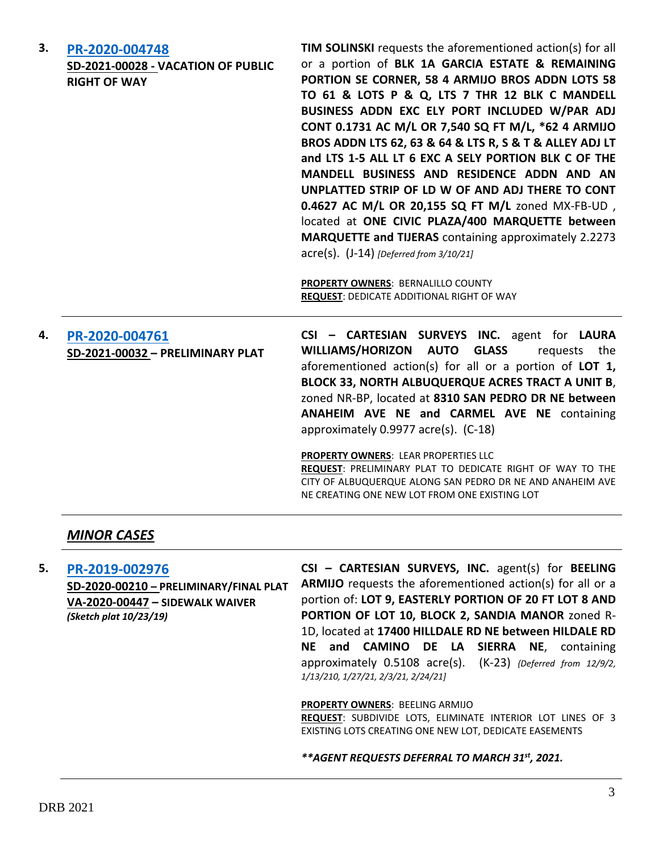| 3. | PR-2020-004748<br>SD-2021-00028 - VACATION OF PUBLIC<br><b>RIGHT OF WAY</b> | <b>TIM SOLINSKI</b> requests the aforementioned action(s) for all<br>or a portion of BLK 1A GARCIA ESTATE & REMAINING<br>PORTION SE CORNER, 58 4 ARMIJO BROS ADDN LOTS 58<br>TO 61 & LOTS P & Q, LTS 7 THR 12 BLK C MANDELL<br>BUSINESS ADDN EXC ELY PORT INCLUDED W/PAR ADJ<br>CONT 0.1731 AC M/L OR 7,540 SQ FT M/L, *62 4 ARMIJO<br>BROS ADDN LTS 62, 63 & 64 & LTS R, S & T & ALLEY ADJ LT<br>and LTS 1-5 ALL LT 6 EXC A SELY PORTION BLK C OF THE<br>MANDELL BUSINESS AND RESIDENCE ADDN AND AN<br>UNPLATTED STRIP OF LD W OF AND ADJ THERE TO CONT<br>0.4627 AC M/L OR 20,155 SQ FT M/L zoned MX-FB-UD,<br>located at ONE CIVIC PLAZA/400 MARQUETTE between<br><b>MARQUETTE and TIJERAS</b> containing approximately 2.2273 |
|----|-----------------------------------------------------------------------------|-----------------------------------------------------------------------------------------------------------------------------------------------------------------------------------------------------------------------------------------------------------------------------------------------------------------------------------------------------------------------------------------------------------------------------------------------------------------------------------------------------------------------------------------------------------------------------------------------------------------------------------------------------------------------------------------------------------------------------------|
|    |                                                                             | $\text{acre}(s)$ . $(J-14)$ [Deferred from 3/10/21]<br>PROPERTY OWNERS: BERNALILLO COUNTY<br><b>REQUEST: DEDICATE ADDITIONAL RIGHT OF WAY</b>                                                                                                                                                                                                                                                                                                                                                                                                                                                                                                                                                                                     |
| 4. | PR-2020-004761<br>SD-2021-00032 - PRELIMINARY PLAT                          | CSI - CARTESIAN SURVEYS INC. agent for LAURA<br>WILLIAMS/HORIZON AUTO<br><b>GLASS</b><br>requests the<br>aforementioned action(s) for all or a portion of LOT 1,<br>BLOCK 33, NORTH ALBUQUERQUE ACRES TRACT A UNIT B,<br>zoned NR-BP, located at 8310 SAN PEDRO DR NE between<br>ANAHEIM AVE NE and CARMEL AVE NE containing<br>approximately 0.9977 acre(s). (C-18)                                                                                                                                                                                                                                                                                                                                                              |
|    |                                                                             | PROPERTY OWNERS: LEAR PROPERTIES LLC<br>REQUEST: PRELIMINARY PLAT TO DEDICATE RIGHT OF WAY TO THE<br>CITY OF ALBUQUERQUE ALONG SAN PEDRO DR NE AND ANAHEIM AVE<br>NE CREATING ONE NEW LOT FROM ONE EXISTING LOT                                                                                                                                                                                                                                                                                                                                                                                                                                                                                                                   |

# *MINOR CASES*

**5. [PR-2019-002976](http://data.cabq.gov/government/planning/DRB/PR-2019-002976/DRB%20Submittals/) SD-2020-00210 – PRELIMINARY/FINAL PLAT VA-2020-00447 – SIDEWALK WAIVER** *(Sketch plat 10/23/19)*

**CSI – CARTESIAN SURVEYS, INC.** agent(s) for **BEELING ARMIJO** requests the aforementioned action(s) for all or a portion of: **LOT 9, EASTERLY PORTION OF 20 FT LOT 8 AND PORTION OF LOT 10, BLOCK 2, SANDIA MANOR** zoned R-1D, located at **17400 HILLDALE RD NE between HILDALE RD NE and CAMINO DE LA SIERRA NE**, containing approximately 0.5108 acre(s). (K-23) *{Deferred from 12/9/2, 1/13/210, 1/27/21, 2/3/21, 2/24/21]*

#### **PROPERTY OWNERS**: BEELING ARMIJO

**REQUEST**: SUBDIVIDE LOTS, ELIMINATE INTERIOR LOT LINES OF 3 EXISTING LOTS CREATING ONE NEW LOT, DEDICATE EASEMENTS

#### *\*\*AGENT REQUESTS DEFERRAL TO MARCH 31st, 2021.*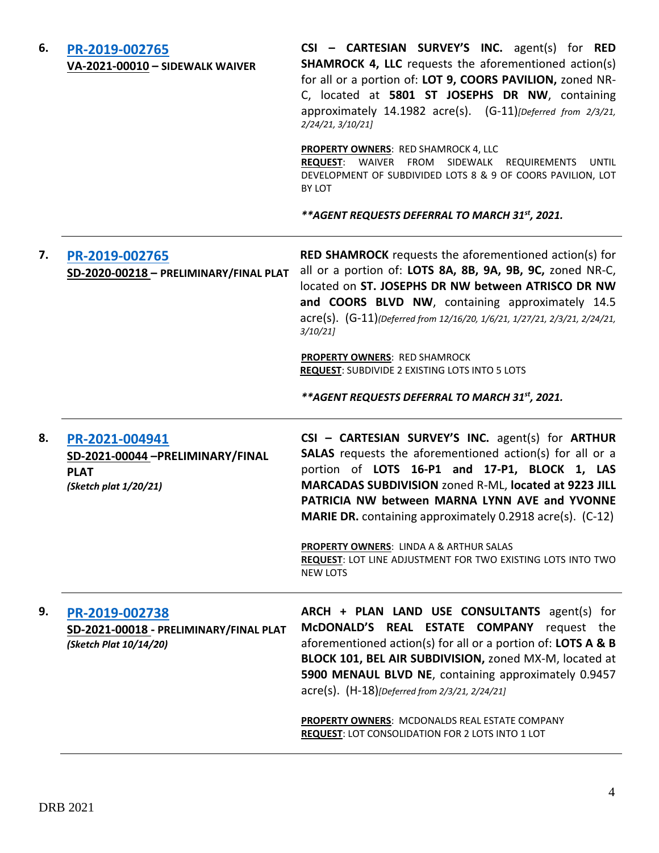| 6. | PR-2019-002765<br>VA-2021-00010 - SIDEWALK WAIVER                                         | CSI - CARTESIAN SURVEY'S INC. agent(s) for RED<br><b>SHAMROCK 4, LLC</b> requests the aforementioned action(s)<br>for all or a portion of: LOT 9, COORS PAVILION, zoned NR-<br>C, located at 5801 ST JOSEPHS DR NW, containing<br>approximately 14.1982 acre(s). (G-11) [Deferred from 2/3/21,<br>2/24/21, 3/10/21]                          |
|----|-------------------------------------------------------------------------------------------|----------------------------------------------------------------------------------------------------------------------------------------------------------------------------------------------------------------------------------------------------------------------------------------------------------------------------------------------|
|    |                                                                                           | PROPERTY OWNERS: RED SHAMROCK 4, LLC<br>REQUEST: WAIVER FROM SIDEWALK REQUIREMENTS<br>UNTIL<br>DEVELOPMENT OF SUBDIVIDED LOTS 8 & 9 OF COORS PAVILION, LOT<br>BY LOT                                                                                                                                                                         |
|    |                                                                                           | **AGENT REQUESTS DEFERRAL TO MARCH 31st, 2021.                                                                                                                                                                                                                                                                                               |
| 7. | PR-2019-002765<br>SD-2020-00218 - PRELIMINARY/FINAL PLAT                                  | <b>RED SHAMROCK</b> requests the aforementioned action(s) for<br>all or a portion of: LOTS 8A, 8B, 9A, 9B, 9C, zoned NR-C,<br>located on ST. JOSEPHS DR NW between ATRISCO DR NW<br>and COORS BLVD NW, containing approximately 14.5<br>acre(s). (G-11)(Deferred from 12/16/20, 1/6/21, 1/27/21, 2/3/21, 2/24/21,<br>3/10/21                 |
|    |                                                                                           | <b>PROPERTY OWNERS: RED SHAMROCK</b><br>REQUEST: SUBDIVIDE 2 EXISTING LOTS INTO 5 LOTS                                                                                                                                                                                                                                                       |
|    |                                                                                           | **AGENT REQUESTS DEFERRAL TO MARCH 31st, 2021.                                                                                                                                                                                                                                                                                               |
| 8. | PR-2021-004941<br>SD-2021-00044-PRELIMINARY/FINAL<br><b>PLAT</b><br>(Sketch plat 1/20/21) | CSI - CARTESIAN SURVEY'S INC. agent(s) for ARTHUR<br><b>SALAS</b> requests the aforementioned action(s) for all or a<br>portion of LOTS 16-P1 and 17-P1, BLOCK 1, LAS<br>MARCADAS SUBDIVISION zoned R-ML, located at 9223 JILL<br>PATRICIA NW between MARNA LYNN AVE and YVONNE<br>MARIE DR. containing approximately 0.2918 acre(s). (C-12) |
|    |                                                                                           | <b>PROPERTY OWNERS: LINDA A &amp; ARTHUR SALAS</b><br>REQUEST: LOT LINE ADJUSTMENT FOR TWO EXISTING LOTS INTO TWO<br><b>NEW LOTS</b>                                                                                                                                                                                                         |
| 9. | PR-2019-002738<br>SD-2021-00018 - PRELIMINARY/FINAL PLAT<br>(Sketch Plat 10/14/20)        | ARCH + PLAN LAND USE CONSULTANTS agent(s) for<br>McDONALD'S REAL ESTATE COMPANY request the<br>aforementioned action(s) for all or a portion of: LOTS A & B<br>BLOCK 101, BEL AIR SUBDIVISION, zoned MX-M, located at<br>5900 MENAUL BLVD NE, containing approximately 0.9457<br>acre(s). (H-18)[Deferred from 2/3/21, 2/24/21]              |
|    |                                                                                           | <b>PROPERTY OWNERS: MCDONALDS REAL ESTATE COMPANY</b><br><b>REQUEST: LOT CONSOLIDATION FOR 2 LOTS INTO 1 LOT</b>                                                                                                                                                                                                                             |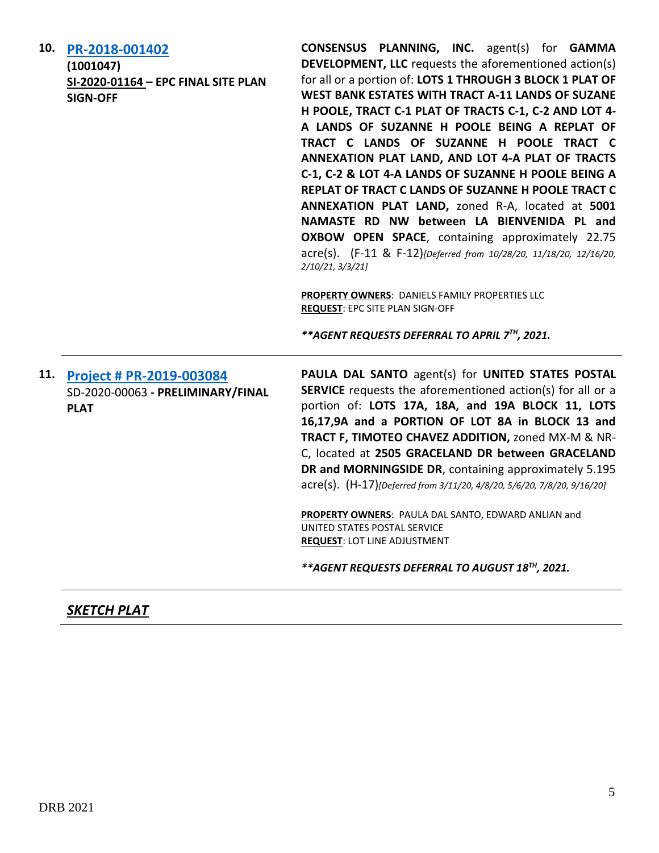| 10. | PR-2018-001402<br>(1001047)<br>SI-2020-01164 - EPC FINAL SITE PLAN<br><b>SIGN-OFF</b> | <b>CONSENSUS PLANNING, INC.</b> agent(s) for <b>GAMMA</b><br><b>DEVELOPMENT, LLC</b> requests the aforementioned action(s)<br>for all or a portion of: LOTS 1 THROUGH 3 BLOCK 1 PLAT OF<br>WEST BANK ESTATES WITH TRACT A-11 LANDS OF SUZANE<br>H POOLE, TRACT C-1 PLAT OF TRACTS C-1, C-2 AND LOT 4-<br>A LANDS OF SUZANNE H POOLE BEING A REPLAT OF<br>TRACT C LANDS OF SUZANNE H POOLE TRACT C<br>ANNEXATION PLAT LAND, AND LOT 4-A PLAT OF TRACTS<br>C-1, C-2 & LOT 4-A LANDS OF SUZANNE H POOLE BEING A<br>REPLAT OF TRACT C LANDS OF SUZANNE H POOLE TRACT C<br>ANNEXATION PLAT LAND, zoned R-A, located at 5001<br>NAMASTE RD NW between LA BIENVENIDA PL and<br>OXBOW OPEN SPACE, containing approximately 22.75<br>acre(s). (F-11 & F-12)[Deferred from 10/28/20, 11/18/20, 12/16/20,<br>2/10/21, 3/3/21<br>PROPERTY OWNERS: DANIELS FAMILY PROPERTIES LLC<br><b>REQUEST: EPC SITE PLAN SIGN-OFF</b><br>** AGENT REQUESTS DEFERRAL TO APRIL 7TH, 2021. |
|-----|---------------------------------------------------------------------------------------|-----------------------------------------------------------------------------------------------------------------------------------------------------------------------------------------------------------------------------------------------------------------------------------------------------------------------------------------------------------------------------------------------------------------------------------------------------------------------------------------------------------------------------------------------------------------------------------------------------------------------------------------------------------------------------------------------------------------------------------------------------------------------------------------------------------------------------------------------------------------------------------------------------------------------------------------------------------------|
| 11. | <b>Project # PR-2019-003084</b><br>SD-2020-00063 - PRELIMINARY/FINAL<br><b>PLAT</b>   | PAULA DAL SANTO agent(s) for UNITED STATES POSTAL<br><b>SERVICE</b> requests the aforementioned action(s) for all or a<br>portion of: LOTS 17A, 18A, and 19A BLOCK 11, LOTS<br>16,17,9A and a PORTION OF LOT 8A in BLOCK 13 and<br>TRACT F, TIMOTEO CHAVEZ ADDITION, zoned MX-M & NR-<br>C, located at 2505 GRACELAND DR between GRACELAND<br>DR and MORNINGSIDE DR, containing approximately 5.195<br>acre(s). (H-17)[Deferred from 3/11/20, 4/8/20, 5/6/20, 7/8/20, 9/16/20]<br>PROPERTY OWNERS: PAULA DAL SANTO, EDWARD ANLIAN and<br>UNITED STATES POSTAL SERVICE<br><b>REQUEST: LOT LINE ADJUSTMENT</b><br>**AGENT REQUESTS DEFERRAL TO AUGUST 18TH, 2021.                                                                                                                                                                                                                                                                                                 |

# *SKETCH PLAT*